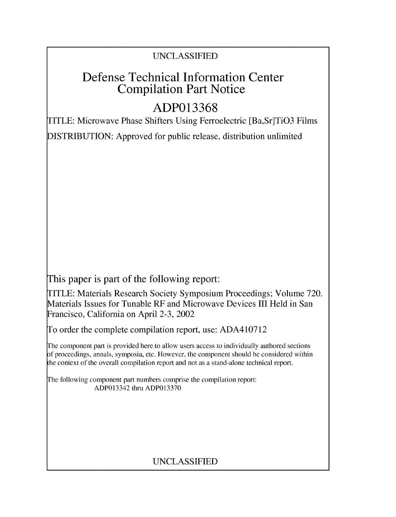## UNCLASSIFIED

## Defense Technical Information Center Compilation Part Notice

# **ADP013368**

TITLE: Microwave Phase Shifters Using Ferroelectric [Ba,Sr]TiO3 Films

DISTRIBUTION: Approved for public release, distribution unlimited

This paper is part of the following report:

TITLE: Materials Research Society Symposium Proceedings; Volume 720. Materials Issues for Tunable RF and Microwave Devices III Held in San Francisco, California on April 2-3, 2002

To order the complete compilation report, use: ADA410712

The component part is provided here to allow users access to individually authored sections **)f** proceedings, annals, symposia, etc. However, the component should be considered within [he context of the overall compilation report and not as a stand-alone technical report.

The following component part numbers comprise the compilation report: ADP013342 thru ADP013370

## UNCLASSIFIED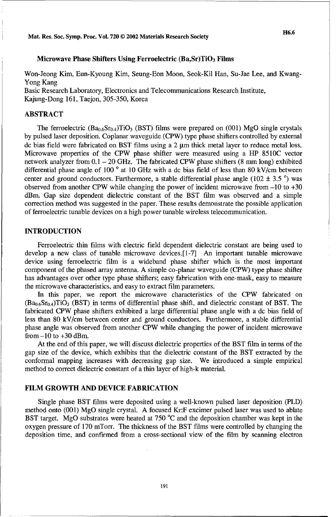#### Microwave Phase Shifters Using Ferroelectric  $(Ba, Sr)TiO<sub>3</sub> Films$

Won-Jeong Kim, Eun-Kyoung Kim, Seung-Eon Moon, Seok-Kil Han, Su-Jae Lee, and Kwang-Yong Kang

Basic Research Laboratory, Electronics and Telecommunications Research Institute, Kajung-Dong 161, Taejon, 305-350, Korea

#### ABSTRACT

The ferroelectric  $(Ba_{0.6}Sr_{0.4})TiO<sub>3</sub>$  (BST) films were prepared on (001) MgO single crystals by pulsed laser deposition. Coplanar waveguide (CPW) type phase shifters controlled by external dc bias field were fabricated on BST films using a 2  $\mu$ m thick metal layer to reduce metal loss. Microwave properties of the CPW phase shifter were measured using a HP **8510C** vector network analyzer from  $0.1 - 20$  GHz. The fabricated CPW phase shifters (8 mm long) exhibited differential phase angle of 100  $^{\circ}$  at 10 GHz with a dc bias field of less than 80 kV/cm between center and ground conductors. Furthermore, a stable differential phase angle (102  $\pm$  3.5  $\degree$ ) was observed from another CPW while changing the power of incident microwave from -10 to +30 dBm. Gap size dependent dielectric constant of the BST film was observed and a simple correction method was suggested in the paper. These results demonstrate the possible application of ferroelectric tunable devices on a high power tunable wireless telecommunication.

#### **INTRODUCTION**

Ferroelectric thin films with electric field dependent dielectric constant are being used to develop a new class of tunable microwave devices.[1-7] An important tunable microwave device using ferroelectric film is a wideband phase shifter which is the most important component of the phased array antenna. A simple co-planar waveguide (CPW) type phase shifter has advantages over other type phase shifters; easy fabrication with one-mask, easy to measure the microwave characteristics, and easy to extract film parameters.

In this paper, we report the microwave characteristics of the CPW fabricated on  $(Ba_{0.6}Sr_{0.4})TiO<sub>3</sub>$  (BST) in terms of differential phase shift, and dielectric constant of BST. The fabricated CPW phase shifters exhibited a large differential phase angle with a dc bias field of less than 80 kV/cm between center and ground conductors. Furthermore, a stable differential phase angle was observed from another CPW while changing the power of incident microwave from  $-10$  to  $+30$  dBm.

At the end of this paper, we will discuss dielectric properties of the BST film in terms of the gap size of the device, which exhibits that the dielectric constant of the BST extracted by the conformal mapping increases with decreasing gap size. We introduced a simple empirical method to correct dielectric constant of a thin layer of high-k material.

#### FILM GROWTH **AND DEVICE** FABRICATION

Single phase BST films were deposited using a well-known pulsed laser deposition (PLD) method onto (001) MgO single crystal. A focused Kr:F excimer pulsed laser was used to ablate BST target. MgO substrates were heated at 750 °C and the deposition chamber was kept in the oxygen pressure of 170 mTorr. The thickness of the BST films were controlled by changing the deposition time, and confirmed from a cross-sectional view of the film by scanning electron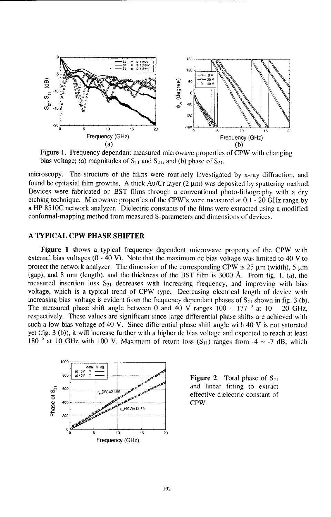

Figure 1. Frequency dependant measured microwave properties of CPW with changing bias voltage; (a) magnitudes of  $S_{11}$  and  $S_{21}$ , and (b) phase of  $S_{21}$ .

microscopy. The structure of the films were routinely investigated by x-ray diffraction, and found be epitaxial film growths. A thick  $Au/Cr$  layer  $(2 \mu m)$  was deposited by sputtering method. Devices were fabricated on BST films through a conventional photo-lithography with a dry etching technique. Microwave properties of the CPW's were measured at 0.1 - 20 GHz range by a HP 85 **1OC** network analyzer. Dielectric constants of the films were extracted using a modified conformal-mapping method from measured S-parameters and dimensions of devices.

#### A TYPICAL CPW PHASE SHIFTER

Figure 1 shows a typical frequency dependent microwave property of the CPW with external bias voltages  $(0 - 40 \text{ V})$ . Note that the maximum dc bias voltage was limited to 40 V to protect the network analyzer. The dimension of the corresponding CPW is  $25 \mu m$  (width),  $5 \mu m$ (gap), and 8 mm (length), and the thickness of the BST film is 3000 **A.** From fig. **1.** (a), the measured insertion loss **821** decreases with increasing frequency, and improving with bias voltage, which is a typical trend of CPW type. Decreasing electrical length of device with increasing bias voltage is evident from the frequency dependant phases of S<sub>21</sub> shown in fig. 3 (b). The measured phase shift angle between 0 and 40 V ranges  $100 - 177$  <sup>o</sup> at  $10 - 20$  GHz, respectively. These values are significant since large differential phase shifts are achieved with such a low bias voltage of 40 V. Since differential phase shift angle with 40 V is not saturated yet (fig. 3 (b)), it will increase further with a higher dc bias voltage and expected to reach at least 180  $^{\circ}$  at 10 GHz with 100 V. Maximum of return loss  $(S_{11})$  ranges from  $-4 \sim -7$  dB, which



and linear fitting to extract <sup>E</sup><sub>10</sub>(0V)=21.95 *effective dielectric constant of* CPW.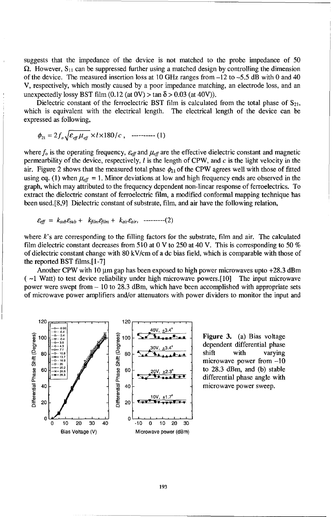suggests that the impedance of the device is not matched to the probe impedance of 50  $\Omega$ . However,  $S_{11}$  can be suppressed further using a matched design by controlling the dimension of the device. The measured insertion loss at 10 GHz ranges from  $-12$  to  $-5.5$  dB with 0 and 40 V, respectively, which mostly caused by a poor impedance matching, an electrode loss, and an unexpectedly lossy BST film  $(0.12 \text{ (at } 0\text{V}) > \tan \delta > 0.03 \text{ (at } 40\text{V})$ .

Dielectric constant of the ferroelectric BST film is calculated from the total phase of  $S_{21}$ , which is equivalent with the electrical length. The electrical length of the device can be expressed as following,

$$
\phi_{21} = 2 f_o \sqrt{\varepsilon_{\text{eff}} \mu_{\text{eff}}} \times l \times 180/c , \quad \text{---} \quad (1)
$$

where  $f_0$  is the operating frequency,  $\varepsilon_{\text{eff}}$  and  $\mu_{\text{eff}}$  are the effective dielectric constant and magnetic permearbility of the device, respectively, **1** is the length of CPW, and c is the light velocity in the air. Figure 2 shows that the measured total phase  $\phi_{21}$  of the CPW agrees well with those of fitted using eq. (1) when  $\mu_{\text{eff}} = 1$ . Minor deviations at low and high frequency ends are observed in the graph, which may attributed to the frequency dependent non-linear response of ferroelectrics. To extract the dielectric constant of ferroelectric film, a modified conformal mapping technique has been used.[8,9] Dielectric constant of substrate, film, and air have the following relation,

 $\mathcal{E}_{\text{eff}} = k_{sub}\mathcal{E}_{sub} + k_{film}\mathcal{E}_{film} + k_{air}\mathcal{E}_{air},$  ---------(2)

where k's are corresponding to the filling factors for the substrate, film and air. The calculated film dielectric constant decreases from 510 at 0 V to 250 at 40 V. This is corresponding to 50 % of dielectric constant change with 80 kV/cm of a dc bias field, which is comparable with those of the reported BST films.[1-7]

Another CPW with 10  $\mu$ m gap has been exposed to high power microwaves upto +28.3 dBm **-1** Watt) to test device reliability under high microwave powers.[10] The input microwave power were swept from - 10 to 28.3 dBm, which have been accomplished with appropriate sets of microwave power amplifiers and/or attenuators with power dividers to monitor the input and



<sup>30V</sup> <sup>43.4°</sup> <sup>dependent differential phase</sup>  $\frac{1}{\sqrt{4\lambda_0 + 4\lambda_1 + 4\lambda_2}}$  shift with varying microwave power from -10 differential phase angle with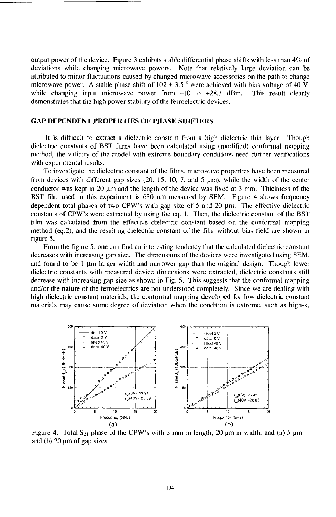output power of the device. Figure 3 exhibits stable differential phase shifts with less than 4% of deviations while changing microwave powers. Note that relatively large deviation can be attributed to minor fluctuations caused by changed microwave accessories on the path to change microwave power. A stable phase shift of 102 **±** 3.5 ° were achieved with bias voltage of 40 V, while changing input microwave power from  $-10$  to  $+28.3$  dBm. This result clearly demonstrates that the high power stability of the ferroelectric devices.

#### **GAP DEPENDENT** PROPERTIES OF **PHASE** SHIFTERS

It is difficult to extract a dielectric constant from a high dielectric thin layer. Though dielectric constants of BST films have been calculated using (modified) conformal mapping method, the validity of the model with extreme boundary conditions need further verifications with experimental results.

To investigate the dielectric constant of the films, microwave properties have been measured from devices with different gap sizes (20, 15, 10, 7, and 5  $\mu$ m), while the width of the center conductor was kept in 20  $\mu$ m and the length of the device was fixed at 3 mm. Thickness of the BST film used in this experiment is 630 nm measured by SEM. Figure 4 shows frequency dependent total phases of two CPW's with gap size of 5 and 20  $\mu$ m. The effective dielectric constants of CPW's were extracted by using the eq. 1. Then, the dielectric constant of the BST film was calculated from the effective dielectric constant based on the conformal mapping method (eq.2), and the resulting dielectric constant of the film without bias field are shown in figure 5.

From the figure 5, one can find an interesting tendency that the calculated dielectric constant decreases with increasing gap size. The dimensions of the devices were investigated using SEM, and found to be 1  $\mu$ m larger width and narrower gap than the original design. Though lower dielectric constants with measured device dimensions were extracted, dielectric constants still decrease with increasing gap size as shown in Fig. 5. This suggests that the conformal mapping and/or the nature of the ferroelectrics are not understood completely. Since we are dealing with high dielectric constant materials, the conformal mapping developed for low dielectric constant materials may cause some degree of deviation when the condition is extreme, such as high-k,



Figure 4. Total  $S_{21}$  phase of the CPW's with 3 mm in length, 20  $\mu$ m in width, and (a) 5  $\mu$ m and (b)  $20 \mu m$  of gap sizes.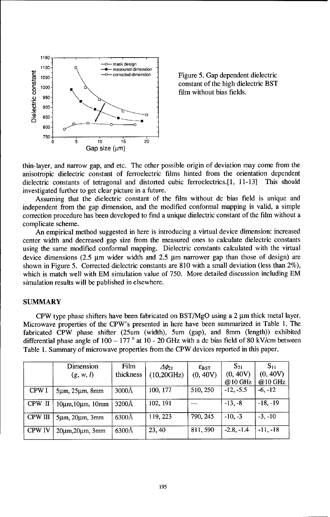![](_page_5_Figure_0.jpeg)

thin-layer, and narrow gap, and etc. The other possible origin of deviation may come from the anisotropic dielectric constant of ferroelectric films hinted from the orientation dependent dielectric constants of tetragonal and distorted cubic ferroelectrics.[1, 11-13] This should investigated further to get clear picture in a future.

Assuming that the dielectric constant of the film without dc bias field is unique and independent from the gap dimension, and the modified conformal mapping is valid, a simple correction procedure has been developed to find a unique dielectric constant of the film without a complicate scheme.

An empirical method suggested in here is introducing a virtual device dimension: increased center width and decreased gap size from the measured ones to calculate dielectric constants using the same modified conformal mapping. Dielectric constants calculated with the virtual device dimensions (2.5  $\mu$ m wider width and 2.5  $\mu$ m narrower gap than those of design) are shown in Figure 5. Corrected dielectric constants are 810 with a small deviation (less than  $2\%)$ , which is match well with EM simulation value of 750. More detailed discussion including EM simulation results will be published in elsewhere.

#### SUMMARY

CPW type phase shifters have been fabricated on  $BST/MgO$  using a 2  $\mu$ m thick metal layer. Microwave properties of the CPW's presented in here have been summarized in Table 1. The fabricated CPW phase shifter (25um (width), 5um (gap), and 8mm (length)) exhibited differential phase angle of 100 - 177 **0** at 10 - 20 GHz with a dc bias field of 80 kV/cm between Table 1. Summary of microwave properties from the CPW devices reported in this paper.

|                | Dimension<br>(g, w, l)         | Film<br>thickness | $\Delta\phi_{21}$<br>(10,20GHz) | $\varepsilon_{\text{BST}}$<br>(0, 40V) | $S_{21}$<br>(0, 40V)<br>@10 GHz | $S_{11}$<br>(0, 40V)<br>@10 GHz |
|----------------|--------------------------------|-------------------|---------------------------------|----------------------------------------|---------------------------------|---------------------------------|
| CPW I          | $5\mu$ m, $25\mu$ m, 8mm       | 3000Å             | 100, 177                        | 510, 250                               | $-12, -5.5$                     | $-6, -12$                       |
| CPW II         | 10μm, 10μm, 10mm               | 3200Å             | 102, 191                        | $-$                                    | $-13. -8$                       | $-18, -19$                      |
| <b>CPW III</b> | $5\mu$ m, $20\mu$ m, $3\mu$ m  | 6300Å             | 119, 223                        | 790, 245                               | $-10. -3$                       | $-3. -10$                       |
| <b>CPW IV</b>  | $20\mu$ m, $20\mu$ m, $3\mu$ m | 6300Å             | 23, 40                          | 811, 590                               | $-2.8, -1.4$                    | $-11. -18$                      |